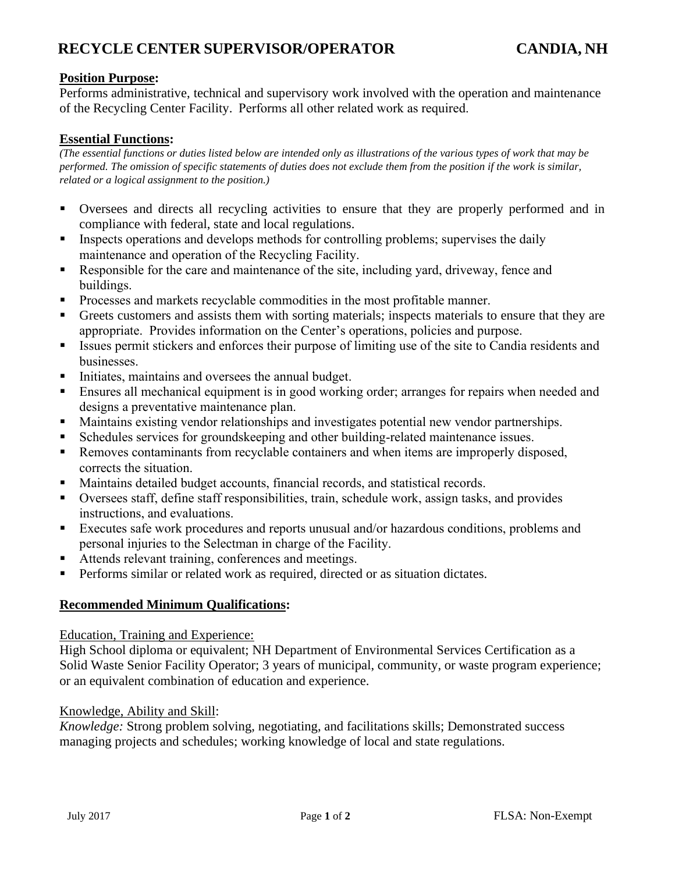## **RECYCLE CENTER SUPERVISOR/OPERATOR CANDIA, NH**

## **Position Purpose:**

Performs administrative, technical and supervisory work involved with the operation and maintenance of the Recycling Center Facility. Performs all other related work as required.

### **Essential Functions:**

*(The essential functions or duties listed below are intended only as illustrations of the various types of work that may be performed. The omission of specific statements of duties does not exclude them from the position if the work is similar, related or a logical assignment to the position.)*

- Oversees and directs all recycling activities to ensure that they are properly performed and in compliance with federal, state and local regulations.
- **Exercise** Inspects operations and develops methods for controlling problems; supervises the daily maintenance and operation of the Recycling Facility.
- Responsible for the care and maintenance of the site, including yard, driveway, fence and buildings.
- Processes and markets recyclable commodities in the most profitable manner.
- Greets customers and assists them with sorting materials; inspects materials to ensure that they are appropriate. Provides information on the Center's operations, policies and purpose.
- Issues permit stickers and enforces their purpose of limiting use of the site to Candia residents and businesses.
- Initiates, maintains and oversees the annual budget.
- **Ensures all mechanical equipment is in good working order; arranges for repairs when needed and** designs a preventative maintenance plan.
- Maintains existing vendor relationships and investigates potential new vendor partnerships.
- Schedules services for groundskeeping and other building-related maintenance issues.
- **Removes contaminants from recyclable containers and when items are improperly disposed,** corrects the situation.
- Maintains detailed budget accounts, financial records, and statistical records.
- Oversees staff, define staff responsibilities, train, schedule work, assign tasks, and provides instructions, and evaluations.
- Executes safe work procedures and reports unusual and/or hazardous conditions, problems and personal injuries to the Selectman in charge of the Facility.
- Attends relevant training, conferences and meetings.
- **•** Performs similar or related work as required, directed or as situation dictates.

#### **Recommended Minimum Qualifications:**

#### Education, Training and Experience:

High School diploma or equivalent; NH Department of Environmental Services Certification as a Solid Waste Senior Facility Operator; 3 years of municipal, community, or waste program experience; or an equivalent combination of education and experience.

#### Knowledge, Ability and Skill:

*Knowledge:* Strong problem solving, negotiating, and facilitations skills; Demonstrated success managing projects and schedules; working knowledge of local and state regulations.